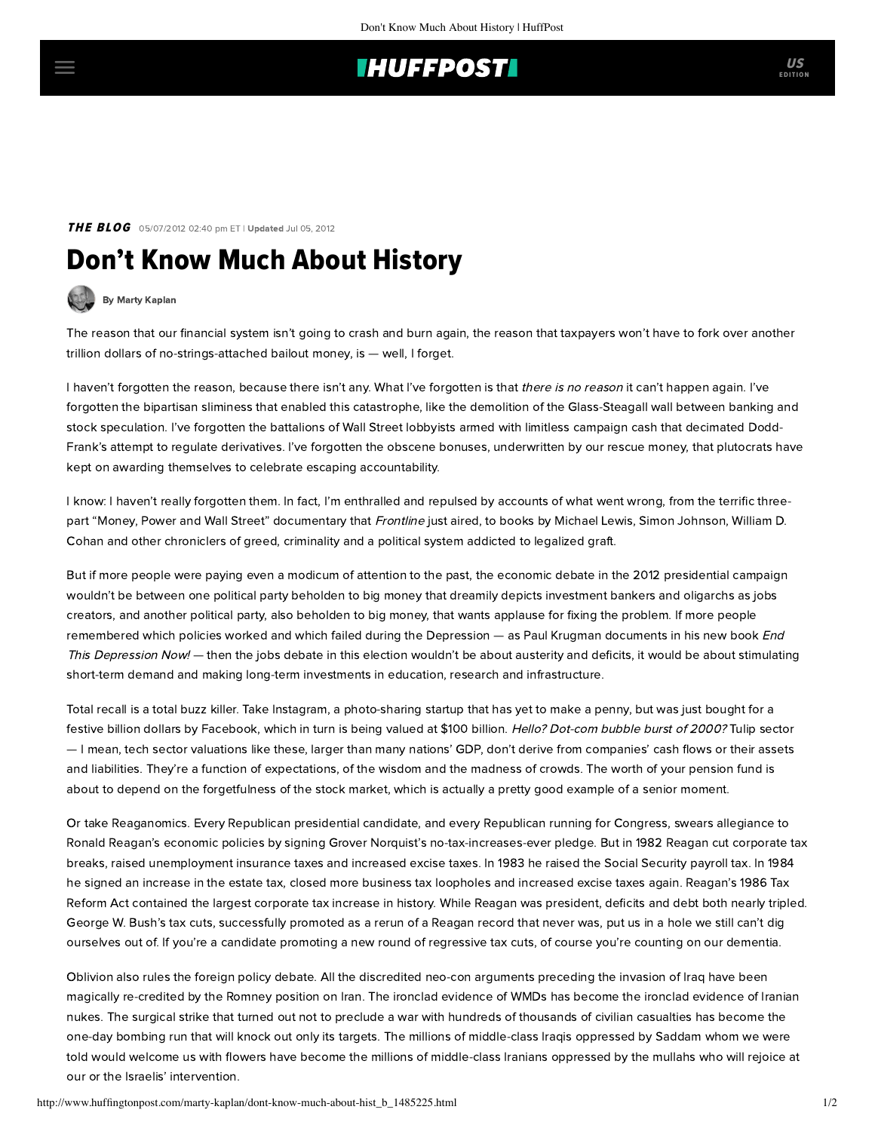## **IHUFFPOSTI**

THE BLOG 05/07/2012 02:40 pm ET | Updated Jul 05, 2012

## Don't Know Much About History



The reason that our financial system isn't going to crash and burn again, the reason that taxpayers won't have to fork over another trillion dollars of no-strings-attached bailout money, is — well, I forget.

I haven't forgotten the reason, because there isn't any. What I've forgotten is that *there is no reason* it can't happen again. I've forgotten the bipartisan sliminess that enabled this catastrophe, like the demolition of the Glass-Steagall wall between banking and stock speculation. I've forgotten the battalions of Wall Street lobbyists armed with limitless campaign cash that decimated Dodd-Frank's attempt to regulate derivatives. I've forgotten the obscene bonuses, underwritten by our rescue money, that plutocrats have kept on awarding themselves to celebrate escaping accountability.

I know: I haven't really forgotten them. In fact, I'm enthralled and repulsed by accounts of what went wrong, from the terrific three-part ["Money, Power and Wall Street"](http://www.pbs.org/wgbh/pages/frontline/money-power-wall-street/) documentary that Frontline just aired, to books by [Michael Lewis](http://books.wwnorton.com/books/978-0-393-07223-5/), [Simon Johnson](http://13bankers.com/), William D. [Cohan and other chroniclers of greed, criminality and a political system addicted to legalized graft.](http://www.randomhouse.com/book/29334/house-of-cards-by-william-d-cohan)

But if more people were paying even a modicum of attention to the past, the economic debate in the 2012 presidential campaign wouldn't be between one political party beholden to big money that dreamily depicts investment bankers and oligarchs as jobs creators, and another political party, also beholden to big money, that wants applause for fixing the problem. If more people remembered which policies worked and which failed during the Depression - as Paul Krugman documents in his new book End This Depression Now! [— then the jobs debate in this election wouldn't be about austerity and deficits, it would be about stimulati](http://books.wwnorton.com/books/978-0-393-08877-9/)ng short-term demand and making long-term investments in education, research and infrastructure.

Total recall is a total buzz killer. Take Instagram, a photo-sharing startup that has yet to make a penny, but was just bought for a festive billion dollars by Facebook, which in turn is being valued at \$100 billion. Hello? Dot-com bubble burst of 2000? Tulip sector — I mean, tech sector valuations like these, larger than many nations' GDP, don't derive from companies' cash flows or their assets and liabilities. They're a function of expectations, of the wisdom and the madness of crowds. The worth of your pension fund is about to depend on the forgetfulness of the stock market, which is actually a pretty good example of a senior moment.

Or take Reaganomics. Every Republican presidential candidate, and every Republican running for Congress, swears allegiance to Ronald Reagan's economic policies by signing Grover Norquist's no-tax-increases-ever pledge. But in 1982 Reagan cut corporate tax breaks, raised unemployment insurance taxes and increased excise taxes. In 1983 he raised the Social Security payroll tax. In 1984 he signed an increase in the estate tax, closed more business tax loopholes and increased excise taxes again. Reagan's 1986 Tax Reform Act contained the largest corporate tax increase in history. While Reagan was president, deficits and debt both nearly tripled. George W. Bush's tax cuts, successfully promoted as a rerun of a Reagan record that never was, put us in a hole we still can't dig ourselves out of. If you're a candidate promoting a new round of regressive tax cuts, of course you're counting on our dementia.

Oblivion also rules the foreign policy debate. All the discredited neo-con arguments preceding the invasion of Iraq have been magically re-credited by the Romney position on Iran. The ironclad evidence of WMDs has become the ironclad evidence of Iranian nukes. The surgical strike that turned out not to preclude a war with hundreds of thousands of civilian casualties has become the one-day bombing run that will knock out only its targets. The millions of middle-class Iraqis oppressed by Saddam whom we were told would welcome us with flowers have become the millions of middle-class Iranians oppressed by the mullahs who will rejoice at our or the Israelis' intervention.